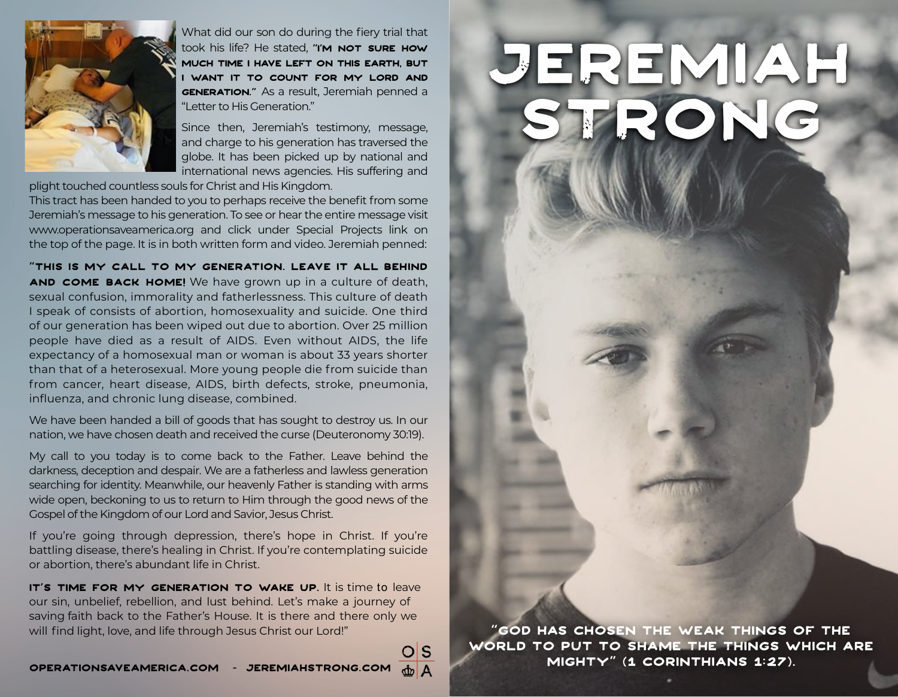

What did our son do during the fiery trial that took his life? He stated, "I'M NOT SURE HOW much time I have left on this earth, but I want it to count for my Lord and **GENERATION."** As a result, Jeremiah penned a "Letter to His Generation."

Since then, Jeremiah's testimony, message, and charge to his generation has traversed the globe. It has been picked up by national and international news agencies. His suffering and

plight touched countless souls for Christ and His Kingdom.

This tract has been handed to you to perhaps receive the benefit from some Jeremiah's message to his generation. To see or hear the entire message visit www.operationsaveamerica.org and click under Special Projects link on the top of the page. It is in both written form and video. Jeremiah penned:

"This is my call to my generation. Leave it all behind and come back home! We have grown up in a culture of death, sexual confusion, immorality and fatherlessness. This culture of death I speak of consists of abortion, homosexuality and suicide. One third of our generation has been wiped out due to abortion. Over 25 million people have died as a result of AIDS. Even without AIDS, the life expectancy of a homosexual man or woman is about 33 years shorter than that of a heterosexual. More young people die from suicide than from cancer, heart disease, AIDS, birth defects, stroke, pneumonia, influenza, and chronic lung disease, combined.

We have been handed a bill of goods that has sought to destroy us. In our nation, we have chosen death and received the curse (Deuteronomy 30:19).

My call to you today is to come back to the Father. Leave behind the darkness, deception and despair. We are a fatherless and lawless generation searching for identity. Meanwhile, our heavenly Father is standing with arms wide open, beckoning to us to return to Him through the good news of the Gospel of the Kingdom of our Lord and Savior, Jesus Christ.

If you're going through depression, there's hope in Christ. If you're battling disease, there's healing in Christ. If you're contemplating suicide or abortion, there's abundant life in Christ.

IT'S TIME FOR MY GENERATION TO WAKE UP. It is time to leave our sin, unbelief, rebellion, and lust behind. Let's make a journey of saving faith back to the Father's House. It is there and there only we will find light, love, and life through Jesus Christ our Lord!"

lS

## Jeremiah strong

"God has chosen the weak things of the world to put to shame the things which are mighty" (1 Corinthians 1:27).